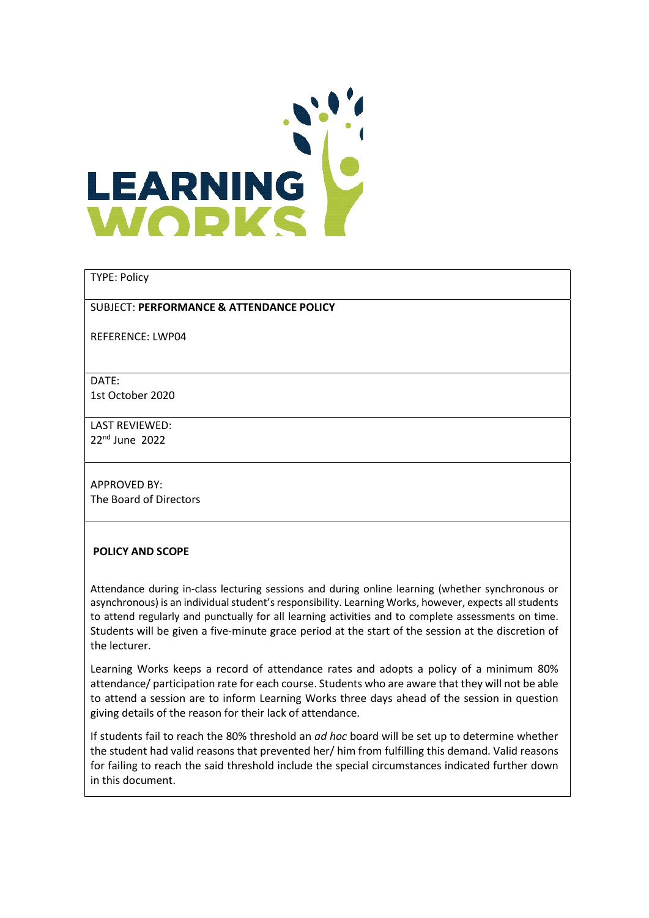

### TYPE: Policy

#### SUBJECT: PERFORMANCE & ATTENDANCE POLICY

REFERENCE: LWP04

DATE:

1st October 2020

LAST REVIEWED: 22nd June 2022

APPROVED BY: The Board of Directors

### POLICY AND SCOPE

Attendance during in-class lecturing sessions and during online learning (whether synchronous or asynchronous) is an individual student's responsibility. Learning Works, however, expects all students to attend regularly and punctually for all learning activities and to complete assessments on time. Students will be given a five-minute grace period at the start of the session at the discretion of the lecturer.

Learning Works keeps a record of attendance rates and adopts a policy of a minimum 80% attendance/ participation rate for each course. Students who are aware that they will not be able to attend a session are to inform Learning Works three days ahead of the session in question giving details of the reason for their lack of attendance.

If students fail to reach the 80% threshold an ad hoc board will be set up to determine whether the student had valid reasons that prevented her/ him from fulfilling this demand. Valid reasons for failing to reach the said threshold include the special circumstances indicated further down in this document.